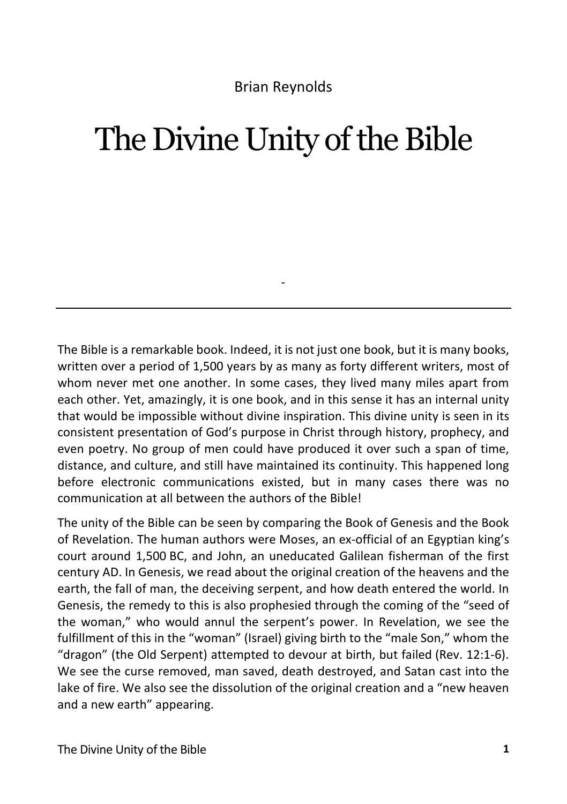## Brian Reynolds

## The Divine Unity of the Bible

The Bible is a remarkable book. Indeed, it is not just one book, but it is many books, written over a period of 1,500 years by as many as forty different writers, most of whom never met one another. In some cases, they lived many miles apart from each other. Yet, amazingly, it is one book, and in this sense it has an internal unity that would be impossible without divine inspiration. This divine unity is seen in its consistent presentation of God's purpose in Christ through history, prophecy, and even poetry. No group of men could have produced it over such a span of time, distance, and culture, and still have maintained its continuity. This happened long before electronic communications existed, but in many cases there was no communication at all between the authors of the Bible!

-

The unity of the Bible can be seen by comparing the Book of Genesis and the Book of Revelation. The human authors were Moses, an ex-official of an Egyptian king's court around 1,500 BC, and John, an uneducated Galilean fisherman of the first century AD. In Genesis, we read about the original creation of the heavens and the earth, the fall of man, the deceiving serpent, and how death entered the world. In Genesis, the remedy to this is also prophesied through the coming of the "seed of the woman," who would annul the serpent's power. In Revelation, we see the fulfillment of this in the "woman" (Israel) giving birth to the "male Son," whom the "dragon" (the Old Serpent) attempted to devour at birth, but failed (Rev. 12:1-6). We see the curse removed, man saved, death destroyed, and Satan cast into the lake of fire. We also see the dissolution of the original creation and a "new heaven and a new earth" appearing.